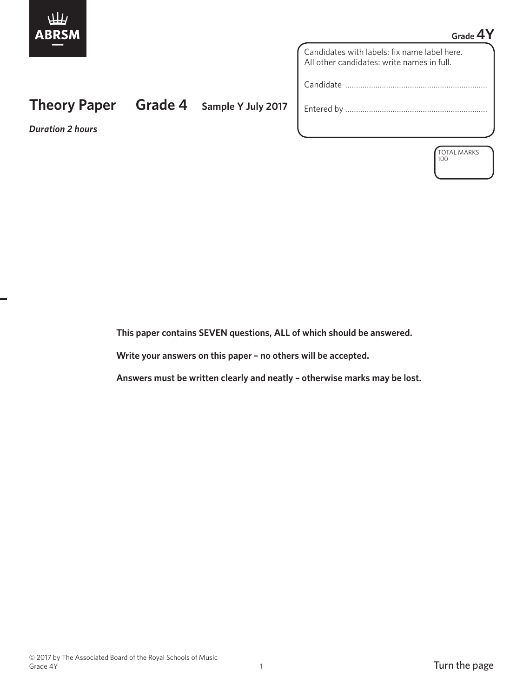

## **Grade 4Y**

Candidates with labels: fix name label here. All other candidates: write names in full.

Candidate …………………………………………………………

Entered by …………………………………………………………

*Duration 2 hours*

**Theory Paper Grade 4 Sample Y July 2017**

TOTAL MARKS 100

 **This paper contains SEVEN questions, ALL of which should be answered.**

 **Write your answers on this paper – no others will be accepted.**

 **Answers must be written clearly and neatly – otherwise marks may be lost.**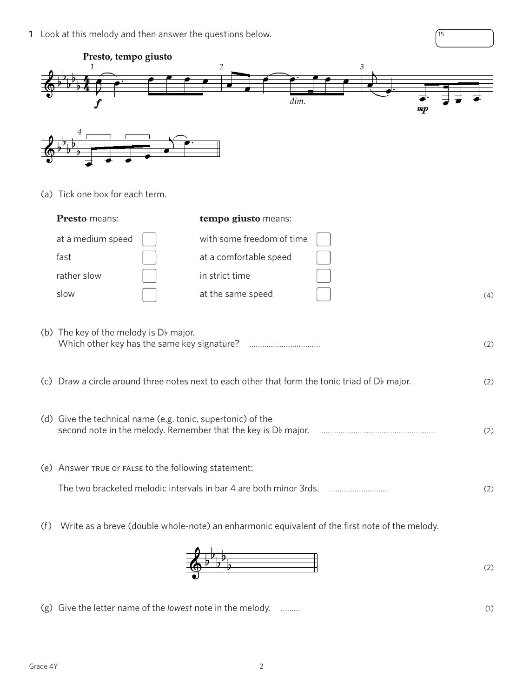**1** Look at this melody and then answer the questions below.





(g) Give the letter name of the *lowest* note in the melody. ……… (1)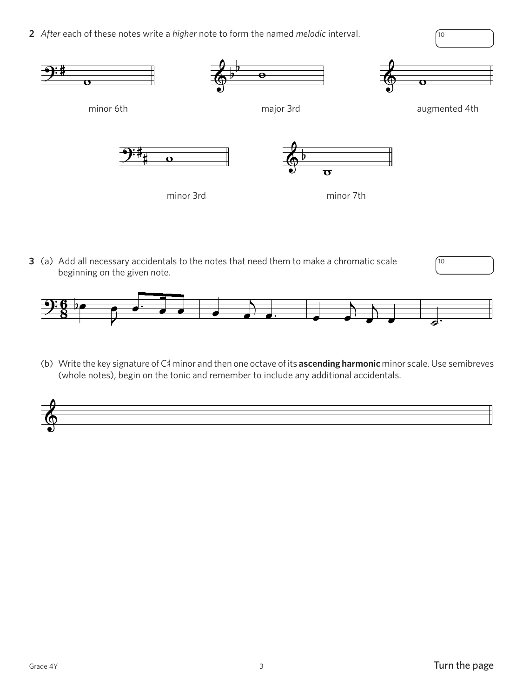**2** *After* each of these notes write a *higher* note to form the named *melodic* interval.  $\sqrt{10}$ 



**3** (a) Add all necessary accidentals to the notes that need them to make a chromatic scale beginning on the given note.



(b) Write the key signature of C# minor and then one octave of its **ascending harmonic** minor scale. Use semibreves (whole notes), begin on the tonic and remember to include any additional accidentals.



10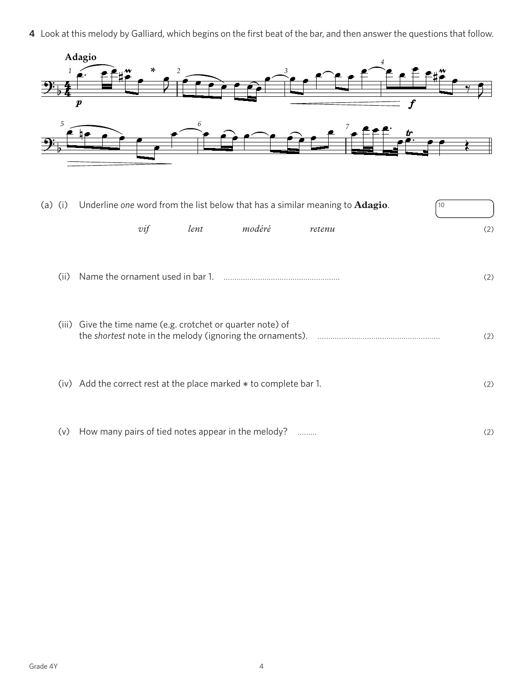**4** Look at this melody by Galliard, which begins on the first beat of the bar, and then answer the questions that follow.



| (a)<br>(i) | Underline one word from the list below that has a similar meaning to <b>Adagio</b> .<br>10 |     |
|------------|--------------------------------------------------------------------------------------------|-----|
|            | modéré<br>lent<br>$\mathit{vif}$<br>retenu                                                 | (2) |
| (ii)       |                                                                                            | (2) |
| (iii)      | Give the time name (e.g. crotchet or quarter note) of                                      | (2) |
|            | (iv) Add the correct rest at the place marked * to complete bar 1.                         | (2) |
| (v)        | How many pairs of tied notes appear in the melody?                                         | (2) |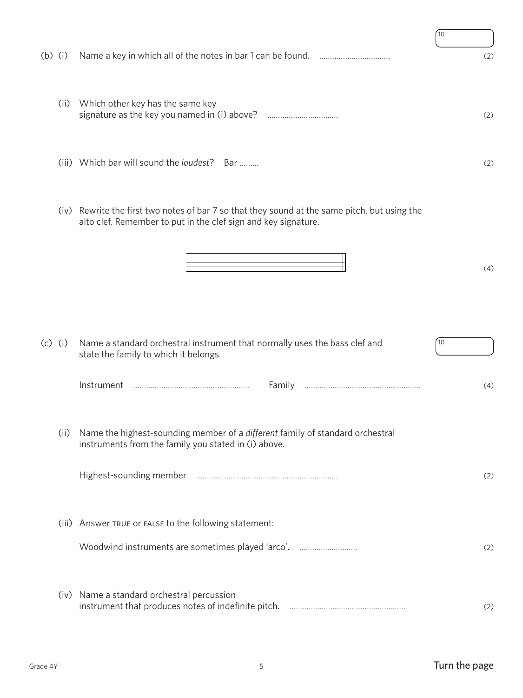|           |           |                                                                                                                                                                 | 10  |
|-----------|-----------|-----------------------------------------------------------------------------------------------------------------------------------------------------------------|-----|
| $(b)$ (i) |           |                                                                                                                                                                 | (2) |
|           | (ii)      | Which other key has the same key                                                                                                                                | (2) |
|           |           | (iii) Which bar will sound the loudest? Bar                                                                                                                     | (2) |
|           |           | (iv) Rewrite the first two notes of bar 7 so that they sound at the same pitch, but using the<br>alto clef. Remember to put in the clef sign and key signature. |     |
|           |           |                                                                                                                                                                 | (4) |
|           | $(c)$ (i) | Name a standard orchestral instrument that normally uses the bass clef and<br>state the family to which it belongs.                                             | 10  |
|           |           | Instrument<br>Family                                                                                                                                            | (4) |
|           | (ii)      | Name the highest-sounding member of a different family of standard orchestral<br>instruments from the family you stated in (i) above.                           |     |
|           |           |                                                                                                                                                                 | (2) |
|           |           | (iii) Answer TRUE or FALSE to the following statement:                                                                                                          |     |
|           |           | Woodwind instruments are sometimes played 'arco'.                                                                                                               | (2) |
|           |           | (iv) Name a standard orchestral percussion                                                                                                                      | (2) |

í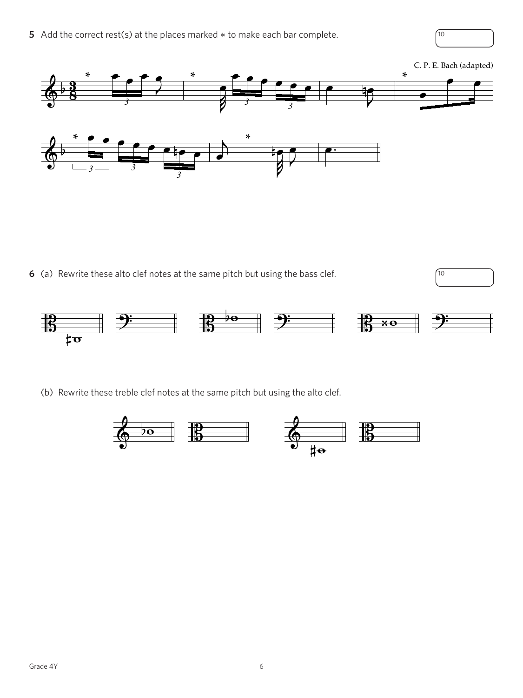**5** Add the correct rest(s) at the places marked  $*$  to make each bar complete.  $\sqrt{10}$ 

## C. P. E. Bach (adapted) **\* \* \***  $\overline{\mathbf{z}}$ *<sup>3</sup> <sup>3</sup> 3* **\* \***  $\frac{4}{3}$ 香  $\bullet$ *3 3 3*

**6** (a) Rewrite these alto clef notes at the same pitch but using the bass clef.  $\sqrt{10}$ 



(b) Rewrite these treble clef notes at the same pitch but using the alto clef.